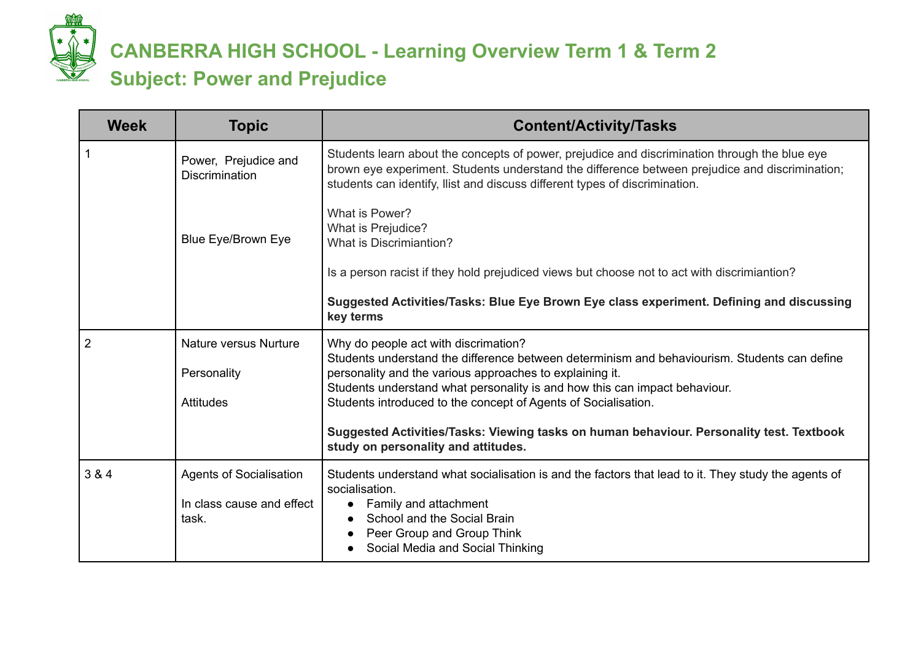

# **CANBERRA HIGH SCHOOL - Learning Overview Term 1 & Term 2 Subject: Power and Prejudice**

| <b>Topic</b>                                  | <b>Content/Activity/Tasks</b>                                                                                                                                                                                                                                                  |
|-----------------------------------------------|--------------------------------------------------------------------------------------------------------------------------------------------------------------------------------------------------------------------------------------------------------------------------------|
| Power, Prejudice and<br><b>Discrimination</b> | Students learn about the concepts of power, prejudice and discrimination through the blue eye<br>brown eye experiment. Students understand the difference between prejudice and discrimination;<br>students can identify, Ilist and discuss different types of discrimination. |
| Blue Eye/Brown Eye                            | What is Power?<br>What is Prejudice?<br><b>What is Discrimiantion?</b>                                                                                                                                                                                                         |
|                                               | Is a person racist if they hold prejudiced views but choose not to act with discrimiantion?                                                                                                                                                                                    |
|                                               | Suggested Activities/Tasks: Blue Eye Brown Eye class experiment. Defining and discussing<br>key terms                                                                                                                                                                          |
| Nature versus Nurture                         | Why do people act with discrimation?<br>Students understand the difference between determinism and behaviourism. Students can define                                                                                                                                           |
| Personality                                   | personality and the various approaches to explaining it.<br>Students understand what personality is and how this can impact behaviour.                                                                                                                                         |
| <b>Attitudes</b>                              | Students introduced to the concept of Agents of Socialisation.                                                                                                                                                                                                                 |
|                                               | Suggested Activities/Tasks: Viewing tasks on human behaviour. Personality test. Textbook<br>study on personality and attitudes.                                                                                                                                                |
| <b>Agents of Socialisation</b>                | Students understand what socialisation is and the factors that lead to it. They study the agents of<br>socialisation.                                                                                                                                                          |
| In class cause and effect<br>task.            | Family and attachment<br>$\bullet$<br>School and the Social Brain<br>Peer Group and Group Think<br>Social Media and Social Thinking                                                                                                                                            |
|                                               |                                                                                                                                                                                                                                                                                |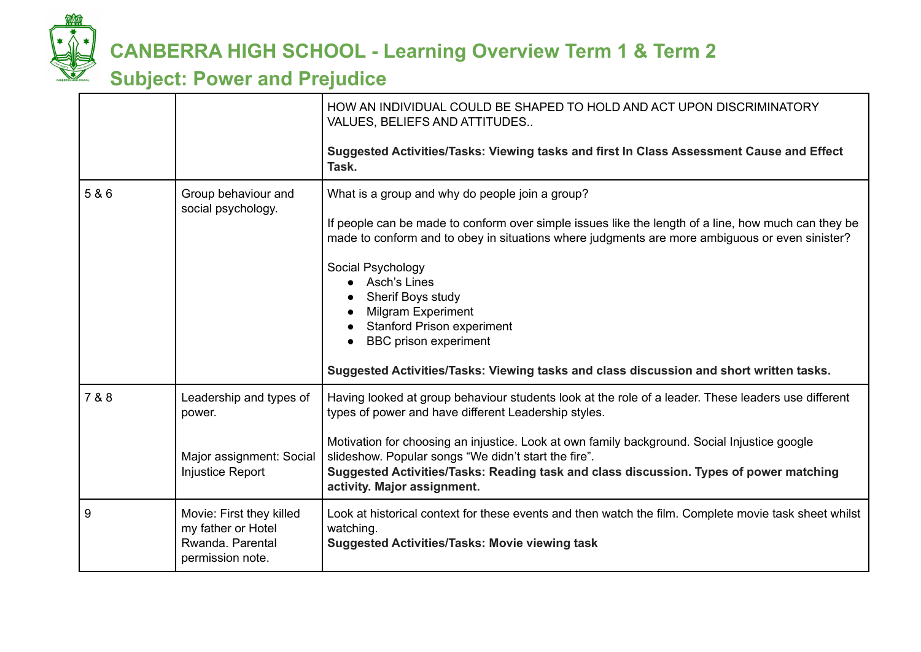

### **CANBERRA HIGH SCHOOL - Learning Overview Term 1 & Term 2**

#### **Subject: Power and Prejudice**

|       |                                                                                          | HOW AN INDIVIDUAL COULD BE SHAPED TO HOLD AND ACT UPON DISCRIMINATORY<br>VALUES, BELIEFS AND ATTITUDES                                                                                                                                                                                                                                                                                                                                                                                                          |
|-------|------------------------------------------------------------------------------------------|-----------------------------------------------------------------------------------------------------------------------------------------------------------------------------------------------------------------------------------------------------------------------------------------------------------------------------------------------------------------------------------------------------------------------------------------------------------------------------------------------------------------|
|       |                                                                                          | Suggested Activities/Tasks: Viewing tasks and first In Class Assessment Cause and Effect<br>Task.                                                                                                                                                                                                                                                                                                                                                                                                               |
| 5 & 6 | Group behaviour and<br>social psychology.                                                | What is a group and why do people join a group?<br>If people can be made to conform over simple issues like the length of a line, how much can they be<br>made to conform and to obey in situations where judgments are more ambiguous or even sinister?<br>Social Psychology<br>Asch's Lines<br>Sherif Boys study<br><b>Milgram Experiment</b><br><b>Stanford Prison experiment</b><br><b>BBC</b> prison experiment<br>Suggested Activities/Tasks: Viewing tasks and class discussion and short written tasks. |
| 7 & 8 | Leadership and types of<br>power.<br>Major assignment: Social<br><b>Injustice Report</b> | Having looked at group behaviour students look at the role of a leader. These leaders use different<br>types of power and have different Leadership styles.<br>Motivation for choosing an injustice. Look at own family background. Social Injustice google<br>slideshow. Popular songs "We didn't start the fire".<br>Suggested Activities/Tasks: Reading task and class discussion. Types of power matching<br>activity. Major assignment.                                                                    |
| 9     | Movie: First they killed<br>my father or Hotel<br>Rwanda, Parental<br>permission note.   | Look at historical context for these events and then watch the film. Complete movie task sheet whilst<br>watching.<br><b>Suggested Activities/Tasks: Movie viewing task</b>                                                                                                                                                                                                                                                                                                                                     |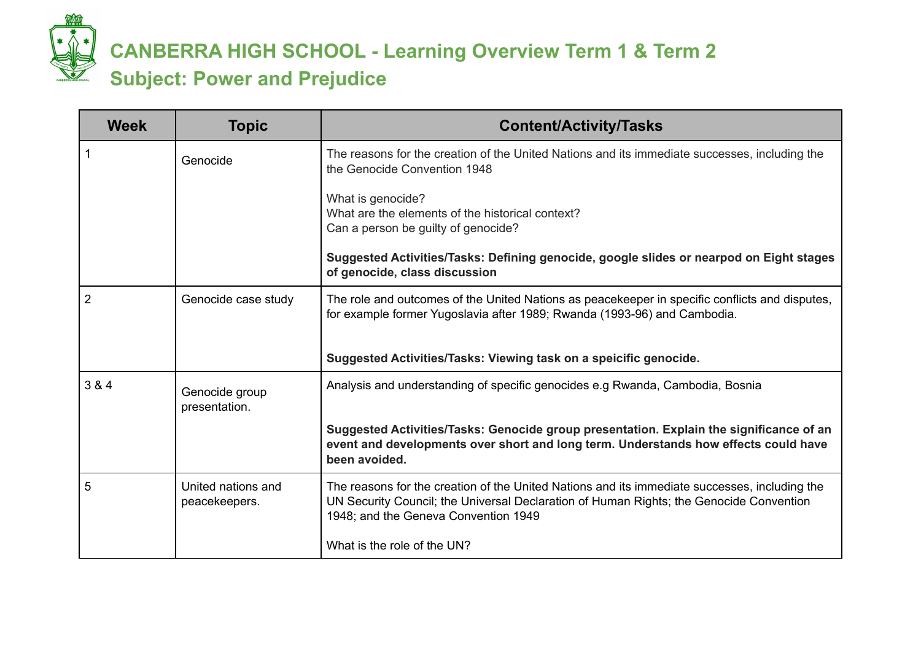

# **CANBERRA HIGH SCHOOL - Learning Overview Term 1 & Term 2 Subject: Power and Prejudice**

| <b>Week</b> | <b>Topic</b>                        | <b>Content/Activity/Tasks</b>                                                                                                                                                                                                    |
|-------------|-------------------------------------|----------------------------------------------------------------------------------------------------------------------------------------------------------------------------------------------------------------------------------|
|             | Genocide                            | The reasons for the creation of the United Nations and its immediate successes, including the<br>the Genocide Convention 1948                                                                                                    |
|             |                                     | What is genocide?<br>What are the elements of the historical context?<br>Can a person be guilty of genocide?                                                                                                                     |
|             |                                     | Suggested Activities/Tasks: Defining genocide, google slides or nearpod on Eight stages<br>of genocide, class discussion                                                                                                         |
| 2           | Genocide case study                 | The role and outcomes of the United Nations as peacekeeper in specific conflicts and disputes,<br>for example former Yugoslavia after 1989; Rwanda (1993-96) and Cambodia.                                                       |
|             |                                     | Suggested Activities/Tasks: Viewing task on a speicific genocide.                                                                                                                                                                |
| 3 & 4       | Genocide group<br>presentation.     | Analysis and understanding of specific genocides e.g Rwanda, Cambodia, Bosnia                                                                                                                                                    |
|             |                                     | Suggested Activities/Tasks: Genocide group presentation. Explain the significance of an<br>event and developments over short and long term. Understands how effects could have<br>been avoided.                                  |
| 5           | United nations and<br>peacekeepers. | The reasons for the creation of the United Nations and its immediate successes, including the<br>UN Security Council; the Universal Declaration of Human Rights; the Genocide Convention<br>1948; and the Geneva Convention 1949 |
|             |                                     | What is the role of the UN?                                                                                                                                                                                                      |